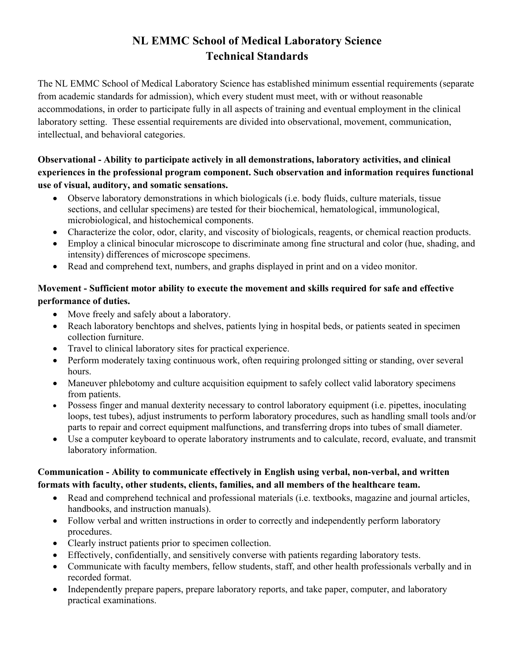# **NL EMMC School of Medical Laboratory Science Technical Standards**

The NL EMMC School of Medical Laboratory Science has established minimum essential requirements (separate from academic standards for admission), which every student must meet, with or without reasonable accommodations, in order to participate fully in all aspects of training and eventual employment in the clinical laboratory setting. These essential requirements are divided into observational, movement, communication, intellectual, and behavioral categories.

## **Observational - Ability to participate actively in all demonstrations, laboratory activities, and clinical experiences in the professional program component. Such observation and information requires functional use of visual, auditory, and somatic sensations.**

- Observe laboratory demonstrations in which biologicals (i.e. body fluids, culture materials, tissue sections, and cellular specimens) are tested for their biochemical, hematological, immunological, microbiological, and histochemical components.
- Characterize the color, odor, clarity, and viscosity of biologicals, reagents, or chemical reaction products.
- Employ a clinical binocular microscope to discriminate among fine structural and color (hue, shading, and intensity) differences of microscope specimens.
- Read and comprehend text, numbers, and graphs displayed in print and on a video monitor.

## **Movement - Sufficient motor ability to execute the movement and skills required for safe and effective performance of duties.**

- Move freely and safely about a laboratory.
- Reach laboratory benchtops and shelves, patients lying in hospital beds, or patients seated in specimen collection furniture.
- Travel to clinical laboratory sites for practical experience.
- Perform moderately taxing continuous work, often requiring prolonged sitting or standing, over several hours.
- Maneuver phlebotomy and culture acquisition equipment to safely collect valid laboratory specimens from patients.
- Possess finger and manual dexterity necessary to control laboratory equipment (i.e. pipettes, inoculating loops, test tubes), adjust instruments to perform laboratory procedures, such as handling small tools and/or parts to repair and correct equipment malfunctions, and transferring drops into tubes of small diameter.
- Use a computer keyboard to operate laboratory instruments and to calculate, record, evaluate, and transmit laboratory information.

### **Communication - Ability to communicate effectively in English using verbal, non-verbal, and written formats with faculty, other students, clients, families, and all members of the healthcare team.**

- Read and comprehend technical and professional materials (i.e. textbooks, magazine and journal articles, handbooks, and instruction manuals).
- Follow verbal and written instructions in order to correctly and independently perform laboratory procedures.
- Clearly instruct patients prior to specimen collection.
- Effectively, confidentially, and sensitively converse with patients regarding laboratory tests.
- Communicate with faculty members, fellow students, staff, and other health professionals verbally and in recorded format.
- Independently prepare papers, prepare laboratory reports, and take paper, computer, and laboratory practical examinations.